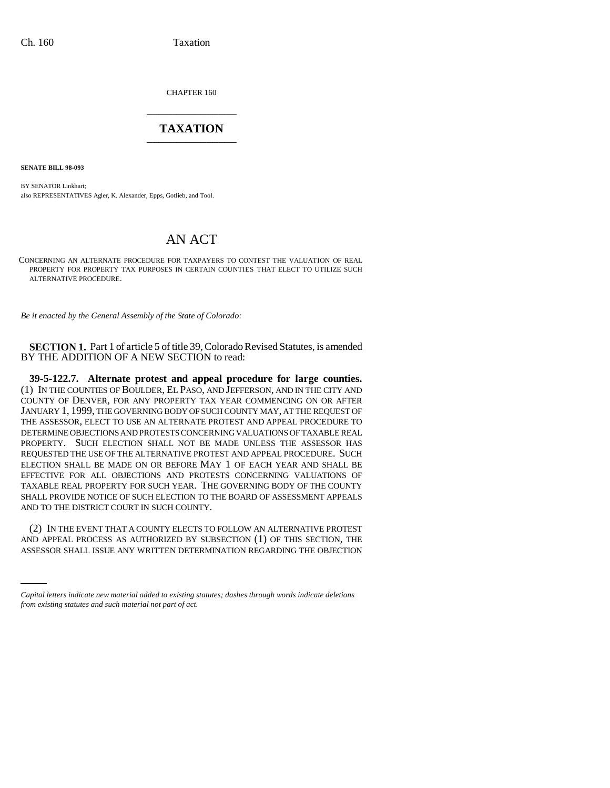CHAPTER 160 \_\_\_\_\_\_\_\_\_\_\_\_\_\_\_

## **TAXATION** \_\_\_\_\_\_\_\_\_\_\_\_\_\_\_

**SENATE BILL 98-093**

BY SENATOR Linkhart; also REPRESENTATIVES Agler, K. Alexander, Epps, Gotlieb, and Tool.

## AN ACT

CONCERNING AN ALTERNATE PROCEDURE FOR TAXPAYERS TO CONTEST THE VALUATION OF REAL PROPERTY FOR PROPERTY TAX PURPOSES IN CERTAIN COUNTIES THAT ELECT TO UTILIZE SUCH ALTERNATIVE PROCEDURE.

*Be it enacted by the General Assembly of the State of Colorado:*

**SECTION 1.** Part 1 of article 5 of title 39, Colorado Revised Statutes, is amended BY THE ADDITION OF A NEW SECTION to read:

**39-5-122.7. Alternate protest and appeal procedure for large counties.** (1) IN THE COUNTIES OF BOULDER, EL PASO, AND JEFFERSON, AND IN THE CITY AND COUNTY OF DENVER, FOR ANY PROPERTY TAX YEAR COMMENCING ON OR AFTER JANUARY 1, 1999, THE GOVERNING BODY OF SUCH COUNTY MAY, AT THE REQUEST OF THE ASSESSOR, ELECT TO USE AN ALTERNATE PROTEST AND APPEAL PROCEDURE TO DETERMINE OBJECTIONS AND PROTESTS CONCERNING VALUATIONS OF TAXABLE REAL PROPERTY. SUCH ELECTION SHALL NOT BE MADE UNLESS THE ASSESSOR HAS REQUESTED THE USE OF THE ALTERNATIVE PROTEST AND APPEAL PROCEDURE. SUCH ELECTION SHALL BE MADE ON OR BEFORE MAY 1 OF EACH YEAR AND SHALL BE EFFECTIVE FOR ALL OBJECTIONS AND PROTESTS CONCERNING VALUATIONS OF TAXABLE REAL PROPERTY FOR SUCH YEAR. THE GOVERNING BODY OF THE COUNTY SHALL PROVIDE NOTICE OF SUCH ELECTION TO THE BOARD OF ASSESSMENT APPEALS AND TO THE DISTRICT COURT IN SUCH COUNTY.

(2) IN THE EVENT THAT A COUNTY ELECTS TO FOLLOW AN ALTERNATIVE PROTEST AND ADDELLAR PROTEST AS ALTERNATIVE PROTECTION AND APPEAL PROCESS AS AUTHORIZED BY SUBSECTION (1) OF THIS SECTION, THE ASSESSOR SHALL ISSUE ANY WRITTEN DETERMINATION REGARDING THE OBJECTION

*Capital letters indicate new material added to existing statutes; dashes through words indicate deletions from existing statutes and such material not part of act.*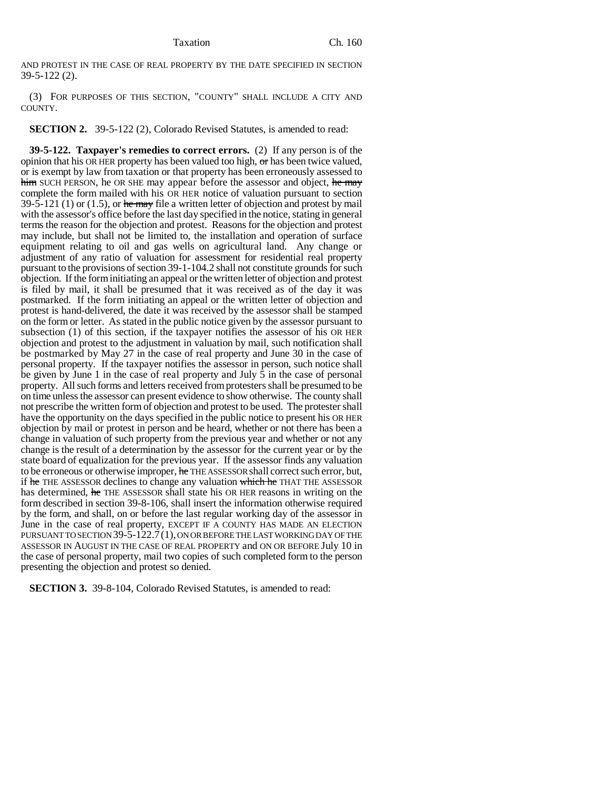AND PROTEST IN THE CASE OF REAL PROPERTY BY THE DATE SPECIFIED IN SECTION 39-5-122 (2).

(3) FOR PURPOSES OF THIS SECTION, "COUNTY" SHALL INCLUDE A CITY AND COUNTY.

**SECTION 2.** 39-5-122 (2), Colorado Revised Statutes, is amended to read:

**39-5-122. Taxpayer's remedies to correct errors.** (2) If any person is of the opinion that his OR HER property has been valued too high,  $\sigma$  has been twice valued, or is exempt by law from taxation or that property has been erroneously assessed to him SUCH PERSON, he OR SHE may appear before the assessor and object, he may complete the form mailed with his OR HER notice of valuation pursuant to section 39-5-121 (1) or (1.5), or he may file a written letter of objection and protest by mail with the assessor's office before the last day specified in the notice, stating in general terms the reason for the objection and protest. Reasons for the objection and protest may include, but shall not be limited to, the installation and operation of surface equipment relating to oil and gas wells on agricultural land. Any change or adjustment of any ratio of valuation for assessment for residential real property pursuant to the provisions of section 39-1-104.2 shall not constitute grounds for such objection. If the form initiating an appeal or the written letter of objection and protest is filed by mail, it shall be presumed that it was received as of the day it was postmarked. If the form initiating an appeal or the written letter of objection and protest is hand-delivered, the date it was received by the assessor shall be stamped on the form or letter. As stated in the public notice given by the assessor pursuant to subsection (1) of this section, if the taxpayer notifies the assessor of his OR HER objection and protest to the adjustment in valuation by mail, such notification shall be postmarked by May 27 in the case of real property and June 30 in the case of personal property. If the taxpayer notifies the assessor in person, such notice shall be given by June 1 in the case of real property and July 5 in the case of personal property. All such forms and letters received from protesters shall be presumed to be on time unless the assessor can present evidence to show otherwise. The county shall not prescribe the written form of objection and protest to be used. The protester shall have the opportunity on the days specified in the public notice to present his OR HER objection by mail or protest in person and be heard, whether or not there has been a change in valuation of such property from the previous year and whether or not any change is the result of a determination by the assessor for the current year or by the state board of equalization for the previous year. If the assessor finds any valuation to be erroneous or otherwise improper, he THE ASSESSOR shall correct such error, but, if he THE ASSESSOR declines to change any valuation which he THAT THE ASSESSOR has determined, he THE ASSESSOR shall state his OR HER reasons in writing on the form described in section 39-8-106, shall insert the information otherwise required by the form, and shall, on or before the last regular working day of the assessor in June in the case of real property, EXCEPT IF A COUNTY HAS MADE AN ELECTION PURSUANT TO SECTION 39-5-122.7(1), ON OR BEFORE THE LAST WORKING DAY OF THE ASSESSOR IN AUGUST IN THE CASE OF REAL PROPERTY and ON OR BEFORE July 10 in the case of personal property, mail two copies of such completed form to the person presenting the objection and protest so denied.

**SECTION 3.** 39-8-104, Colorado Revised Statutes, is amended to read: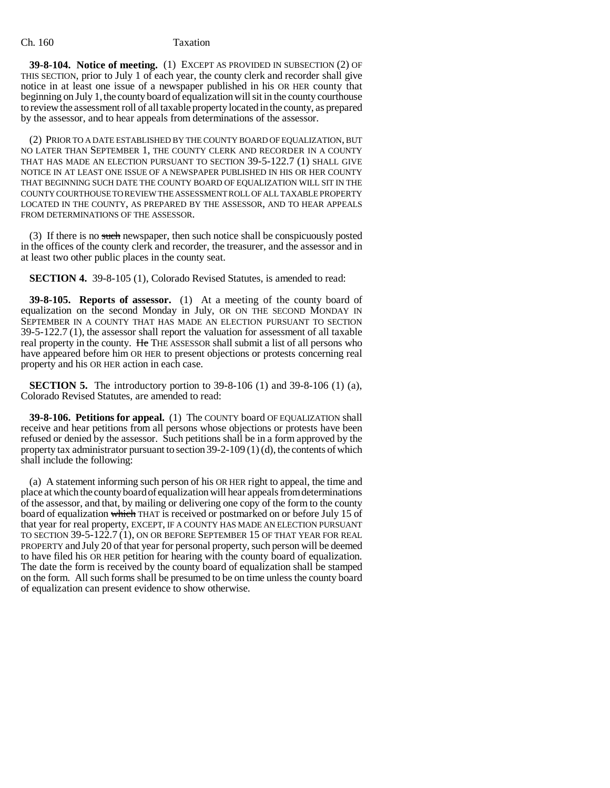## Ch. 160 Taxation

**39-8-104. Notice of meeting.** (1) EXCEPT AS PROVIDED IN SUBSECTION (2) OF THIS SECTION, prior to July 1 of each year, the county clerk and recorder shall give notice in at least one issue of a newspaper published in his OR HER county that beginning on July 1, the county board of equalization will sit in the county courthouse to review the assessment roll of all taxable property located in the county, as prepared by the assessor, and to hear appeals from determinations of the assessor.

(2) PRIOR TO A DATE ESTABLISHED BY THE COUNTY BOARD OF EQUALIZATION, BUT NO LATER THAN SEPTEMBER 1, THE COUNTY CLERK AND RECORDER IN A COUNTY THAT HAS MADE AN ELECTION PURSUANT TO SECTION 39-5-122.7 (1) SHALL GIVE NOTICE IN AT LEAST ONE ISSUE OF A NEWSPAPER PUBLISHED IN HIS OR HER COUNTY THAT BEGINNING SUCH DATE THE COUNTY BOARD OF EQUALIZATION WILL SIT IN THE COUNTY COURTHOUSE TO REVIEW THE ASSESSMENT ROLL OF ALL TAXABLE PROPERTY LOCATED IN THE COUNTY, AS PREPARED BY THE ASSESSOR, AND TO HEAR APPEALS FROM DETERMINATIONS OF THE ASSESSOR.

(3) If there is no such newspaper, then such notice shall be conspicuously posted in the offices of the county clerk and recorder, the treasurer, and the assessor and in at least two other public places in the county seat.

**SECTION 4.** 39-8-105 (1), Colorado Revised Statutes, is amended to read:

**39-8-105. Reports of assessor.** (1) At a meeting of the county board of equalization on the second Monday in July, OR ON THE SECOND MONDAY IN SEPTEMBER IN A COUNTY THAT HAS MADE AN ELECTION PURSUANT TO SECTION 39-5-122.7 (1), the assessor shall report the valuation for assessment of all taxable real property in the county. He THE ASSESSOR shall submit a list of all persons who have appeared before him OR HER to present objections or protests concerning real property and his OR HER action in each case.

**SECTION 5.** The introductory portion to 39-8-106 (1) and 39-8-106 (1) (a), Colorado Revised Statutes, are amended to read:

**39-8-106. Petitions for appeal.** (1) The COUNTY board OF EQUALIZATION shall receive and hear petitions from all persons whose objections or protests have been refused or denied by the assessor. Such petitions shall be in a form approved by the property tax administrator pursuant to section 39-2-109 (1) (d), the contents of which shall include the following:

(a) A statement informing such person of his OR HER right to appeal, the time and place at which the county board of equalization will hear appeals from determinations of the assessor, and that, by mailing or delivering one copy of the form to the county board of equalization which THAT is received or postmarked on or before July 15 of that year for real property, EXCEPT, IF A COUNTY HAS MADE AN ELECTION PURSUANT TO SECTION 39-5-122.7 (1), ON OR BEFORE SEPTEMBER 15 OF THAT YEAR FOR REAL PROPERTY and July 20 of that year for personal property, such person will be deemed to have filed his OR HER petition for hearing with the county board of equalization. The date the form is received by the county board of equalization shall be stamped on the form. All such forms shall be presumed to be on time unless the county board of equalization can present evidence to show otherwise.